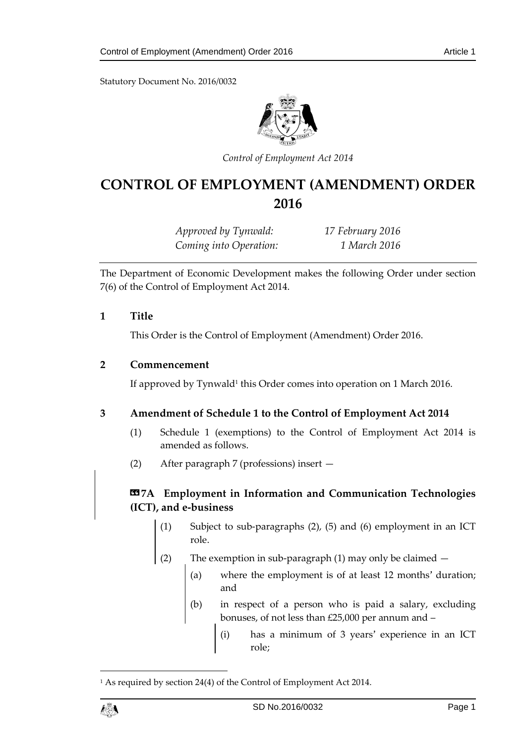Statutory Document No. 2016/0032



*Control of Employment Act 2014*

# **CONTROL OF EMPLOYMENT (AMENDMENT) ORDER 2016**

*Approved by Tynwald: 17 February 2016 Coming into Operation: 1 March 2016*

The Department of Economic Development makes the following Order under section 7(6) of the Control of Employment Act 2014.

#### **1 Title**

This Order is the Control of Employment (Amendment) Order 2016.

#### **2 Commencement**

If approved by Tynwald<sup>1</sup> this Order comes into operation on 1 March 2016.

### **3 Amendment of Schedule 1 to the Control of Employment Act 2014**

- (1) Schedule 1 (exemptions) to the Control of Employment Act 2014 is amended as follows.
- (2) After paragraph 7 (professions) insert —

# **«7A Employment in Information and Communication Technologies (ICT), and e-business**

- (1) Subject to sub-paragraphs (2), (5) and (6) employment in an ICT role.
- (2) The exemption in sub-paragraph (1) may only be claimed
	- (a) where the employment is of at least 12 months' duration; and
	- (b) in respect of a person who is paid a salary, excluding bonuses, of not less than £25,000 per annum and –
		- (i) has a minimum of 3 years' experience in an ICT role;

<sup>&</sup>lt;sup>1</sup> As required by section 24(4) of the Control of Employment Act 2014.



1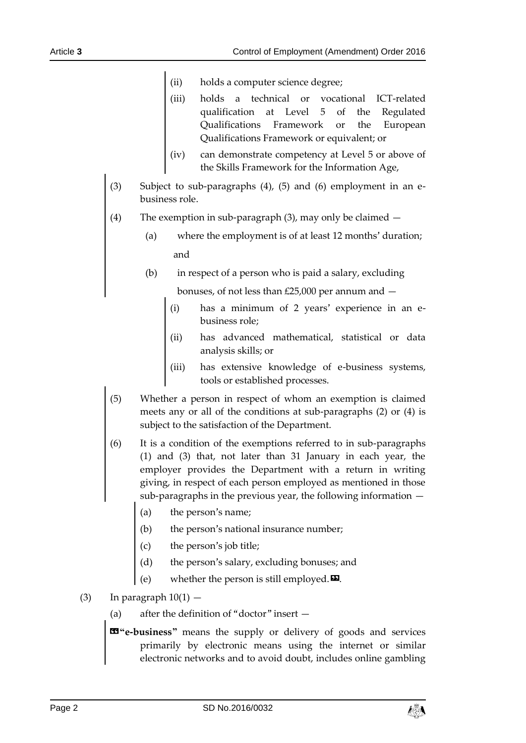- (ii) holds a computer science degree;
- (iii) holds a technical or vocational ICT-related qualification at Level 5 of the Regulated Qualifications Framework or the European Qualifications Framework or equivalent; or
- (iv) can demonstrate competency at Level 5 or above of the Skills Framework for the Information Age,
- (3) Subject to sub-paragraphs (4), (5) and (6) employment in an ebusiness role.
- (4) The exemption in sub-paragraph (3), may only be claimed
	- (a) where the employment is of at least 12 months' duration; and
	- (b) in respect of a person who is paid a salary, excluding

bonuses, of not less than £25,000 per annum and —

- (i) has a minimum of 2 years' experience in an ebusiness role;
- (ii) has advanced mathematical, statistical or data analysis skills; or
- (iii) has extensive knowledge of e-business systems, tools or established processes.
- (5) Whether a person in respect of whom an exemption is claimed meets any or all of the conditions at sub-paragraphs (2) or (4) is subject to the satisfaction of the Department.
- (6) It is a condition of the exemptions referred to in sub-paragraphs (1) and (3) that, not later than 31 January in each year, the employer provides the Department with a return in writing giving, in respect of each person employed as mentioned in those sub-paragraphs in the previous year, the following information —
	- (a) the person's name;
	- (b) the person's national insurance number;
	- (c) the person's job title;
	- (d) the person's salary, excluding bonuses; and
	- (e) whether the person is still employed. $\boldsymbol{\mathsf{\Xi}}$ .
- (3) In paragraph  $10(1)$ 
	- (a) after the definition of "doctor" insert —
	- **«"e-business"** means the supply or delivery of goods and services primarily by electronic means using the internet or similar electronic networks and to avoid doubt, includes online gambling

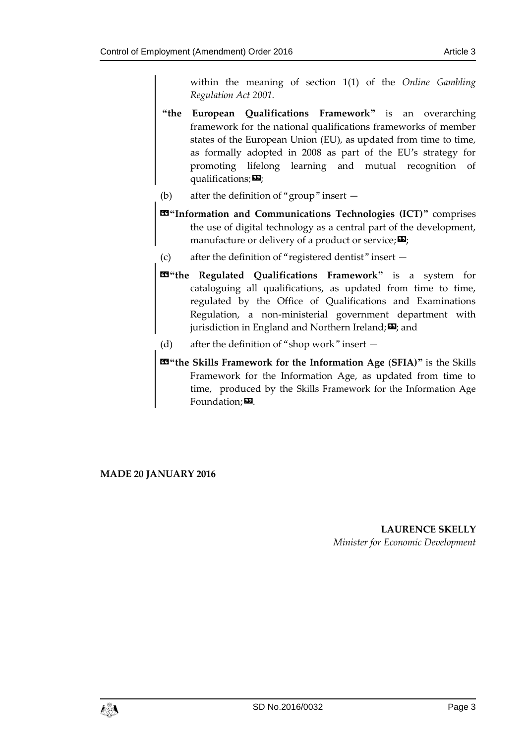within the meaning of section 1(1) of the *Online Gambling Regulation Act 2001.*

- **"the European Qualifications Framework"** is an overarching framework for the national qualifications frameworks of member states of the European Union (EU), as updated from time to time, as formally adopted in 2008 as part of the EU's strategy for promoting lifelong learning and mutual recognition of qualifications; $\mathbf{E}$ ;
- (b) after the definition of "group" insert —
- **«"Information and Communications Technologies (ICT)"** comprises the use of digital technology as a central part of the development, manufacture or delivery of a product or service;  $\Sigma$ ;
- (c) after the definition of "registered dentist" insert —
- **«"the Regulated Qualifications Framework"** is a system for cataloguing all qualifications, as updated from time to time, regulated by the Office of Qualifications and Examinations Regulation, a non-ministerial government department with jurisdiction in England and Northern Ireland; $\mathbf{\Sigma}$ ; and
- (d) after the definition of "shop work" insert —
- **«"the Skills Framework for the Information Age** (**SFIA)"** is the Skills Framework for the Information Age, as updated from time to time, produced by the Skills Framework for the Information Age  $F$ oundation; $\mathbf{E}$ .

**MADE 20 JANUARY 2016**

**LAURENCE SKELLY** *Minister for Economic Development*